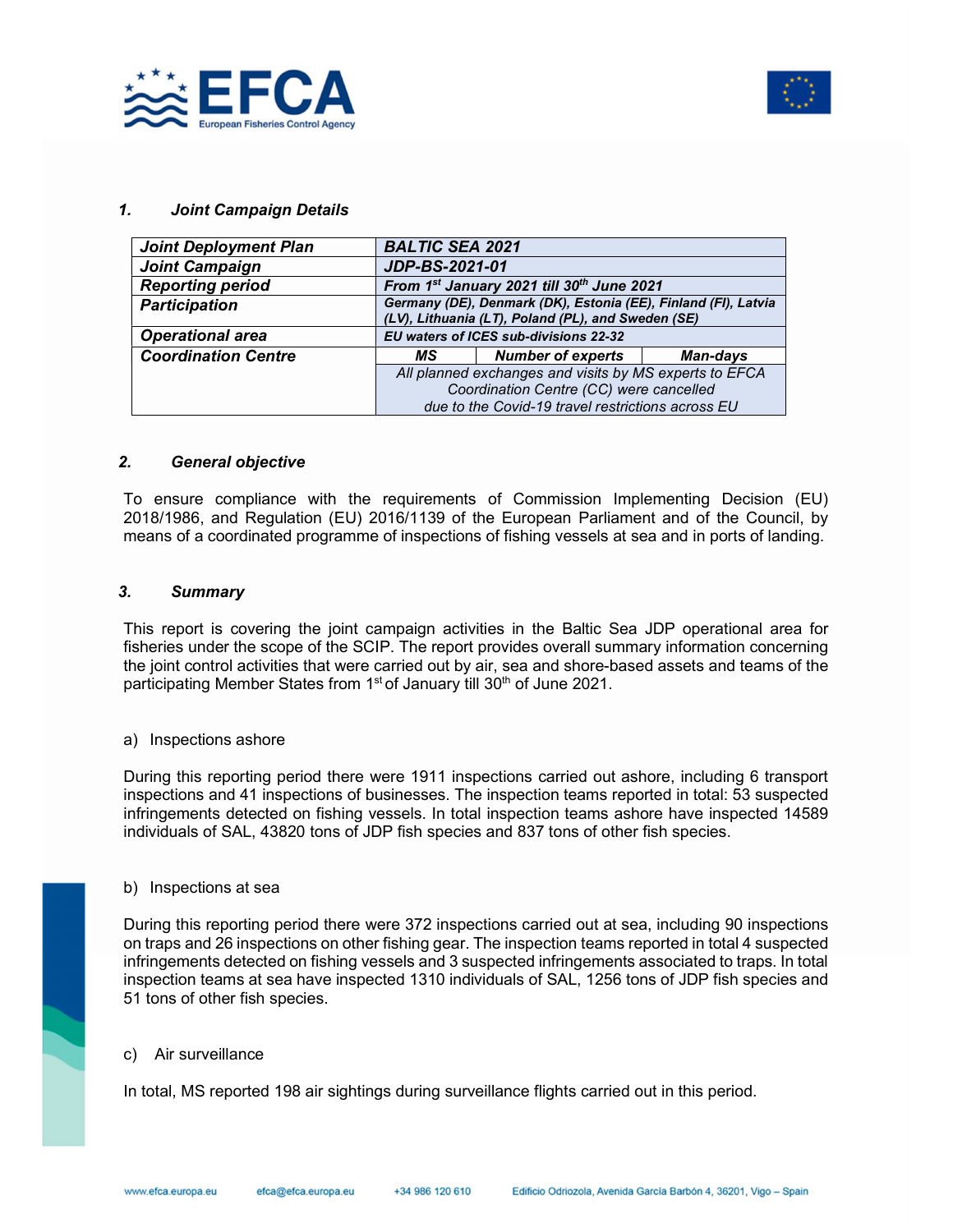



### 1. Joint Campaign Details

| <b>Joint Deployment Plan</b> | <b>BALTIC SEA 2021</b>                                                                                               |                                              |  |  |  |
|------------------------------|----------------------------------------------------------------------------------------------------------------------|----------------------------------------------|--|--|--|
| <b>Joint Campaign</b>        | JDP-BS-2021-01                                                                                                       |                                              |  |  |  |
| <b>Reporting period</b>      |                                                                                                                      | From 1st January 2021 till 30th June 2021    |  |  |  |
| <b>Participation</b>         | Germany (DE), Denmark (DK), Estonia (EE), Finland (FI), Latvia<br>(LV), Lithuania (LT), Poland (PL), and Sweden (SE) |                                              |  |  |  |
| <b>Operational area</b>      |                                                                                                                      | <b>EU waters of ICES sub-divisions 22-32</b> |  |  |  |
| <b>Coordination Centre</b>   | MS.                                                                                                                  | <b>Number of experts</b><br><b>Man-days</b>  |  |  |  |
|                              | All planned exchanges and visits by MS experts to EFCA                                                               |                                              |  |  |  |
|                              | Coordination Centre (CC) were cancelled                                                                              |                                              |  |  |  |
|                              | due to the Covid-19 travel restrictions across EU                                                                    |                                              |  |  |  |

#### 2. General objective

To ensure compliance with the requirements of Commission Implementing Decision (EU) 2018/1986, and Regulation (EU) 2016/1139 of the European Parliament and of the Council, by means of a coordinated programme of inspections of fishing vessels at sea and in ports of landing.

### 3. Summary

This report is covering the joint campaign activities in the Baltic Sea JDP operational area for fisheries under the scope of the SCIP. The report provides overall summary information concerning the joint control activities that were carried out by air, sea and shore-based assets and teams of the participating Member States from 1<sup>st</sup> of January till 30<sup>th</sup> of June 2021.

#### a) Inspections ashore

During this reporting period there were 1911 inspections carried out ashore, including 6 transport inspections and 41 inspections of businesses. The inspection teams reported in total: 53 suspected infringements detected on fishing vessels. In total inspection teams ashore have inspected 14589 individuals of SAL, 43820 tons of JDP fish species and 837 tons of other fish species.

#### b) Inspections at sea

During this reporting period there were 372 inspections carried out at sea, including 90 inspections on traps and 26 inspections on other fishing gear. The inspection teams reported in total 4 suspected infringements detected on fishing vessels and 3 suspected infringements associated to traps. In total inspection teams at sea have inspected 1310 individuals of SAL, 1256 tons of JDP fish species and 51 tons of other fish species.

#### c) Air surveillance

In total, MS reported 198 air sightings during surveillance flights carried out in this period.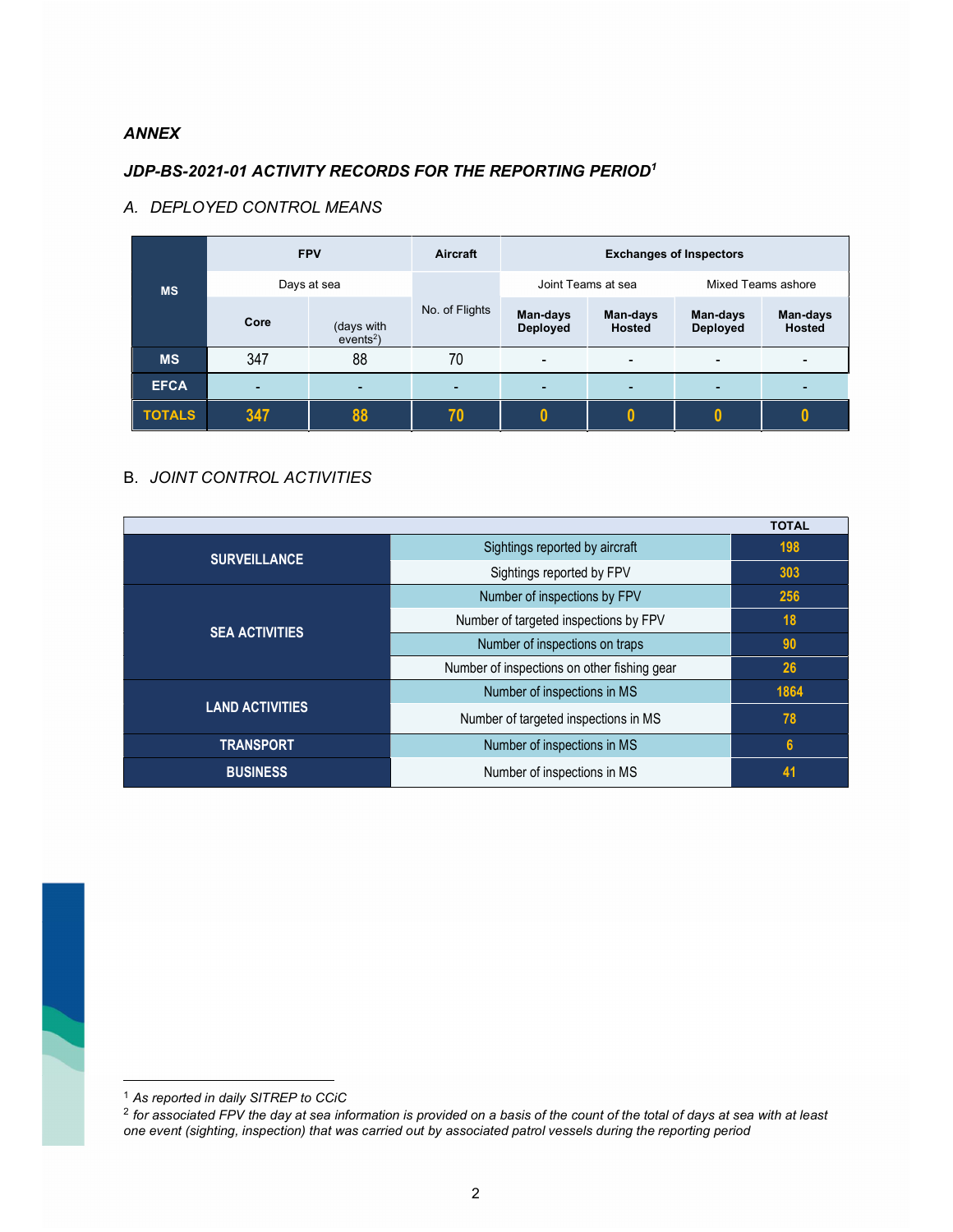## ANNEX

# JDP-BS-2021-01 ACTIVITY RECORDS FOR THE REPORTING PERIOD<sup>1</sup>

## A. DEPLOYED CONTROL MEANS

| <b>MS</b>     | <b>FPV</b>  |                           | Aircraft       | <b>Exchanges of Inspectors</b> |                           |                             |                           |
|---------------|-------------|---------------------------|----------------|--------------------------------|---------------------------|-----------------------------|---------------------------|
|               | Days at sea |                           |                | Joint Teams at sea             |                           | Mixed Teams ashore          |                           |
|               | Core        | (days with<br>$events2$ ) | No. of Flights | Man-days<br><b>Deployed</b>    | Man-days<br><b>Hosted</b> | Man-days<br><b>Deployed</b> | Man-days<br><b>Hosted</b> |
| <b>MS</b>     | 347         | 88                        | 70             | $\blacksquare$                 | $\overline{\phantom{0}}$  | $\blacksquare$              |                           |
| <b>EFCA</b>   | -           |                           |                |                                |                           | -                           |                           |
| <b>TOTALS</b> | 347         | 88                        | 70             |                                | 0                         |                             |                           |

## B. JOINT CONTROL ACTIVITIES

| <b>TOTAL</b>           |                                             |                 |  |  |
|------------------------|---------------------------------------------|-----------------|--|--|
| <b>SURVEILLANCE</b>    | Sightings reported by aircraft              | 198             |  |  |
|                        | Sightings reported by FPV                   | 303             |  |  |
|                        | Number of inspections by FPV                | 256             |  |  |
| <b>SEA ACTIVITIES</b>  | Number of targeted inspections by FPV       | 18              |  |  |
|                        | Number of inspections on traps              | 90              |  |  |
|                        | Number of inspections on other fishing gear | 26              |  |  |
|                        | Number of inspections in MS                 | 1864            |  |  |
| <b>LAND ACTIVITIES</b> | Number of targeted inspections in MS        | 78              |  |  |
| <b>TRANSPORT</b>       | Number of inspections in MS                 | $6\phantom{1}6$ |  |  |
| <b>BUSINESS</b>        | Number of inspections in MS                 | 41              |  |  |

<sup>&</sup>lt;sup>1</sup> As reported in daily SITREP to CCiC

 $^2$  for associated FPV the day at sea information is provided on a basis of the count of the total of days at sea with at least one event (sighting, inspection) that was carried out by associated patrol vessels during the reporting period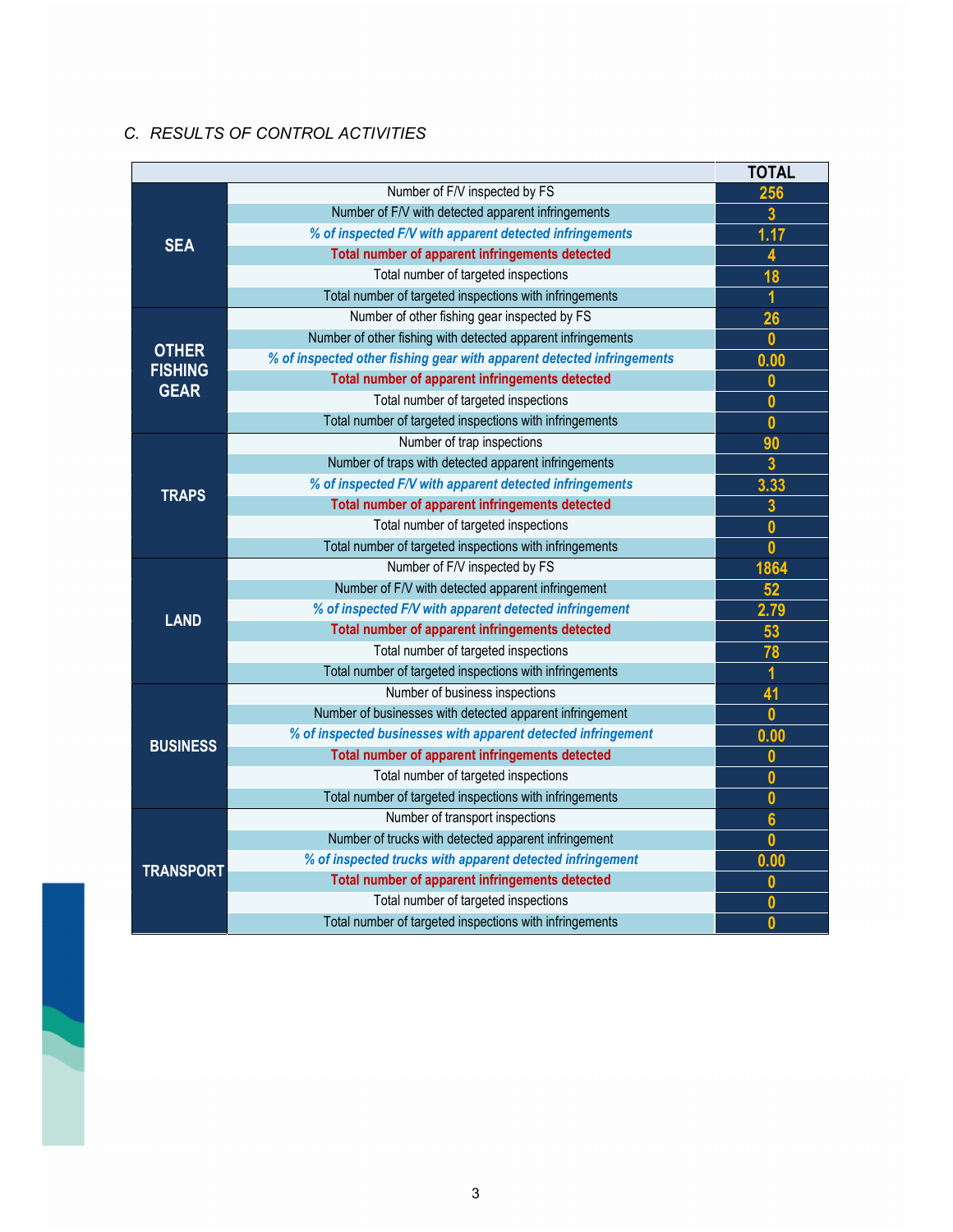## C. RESULTS OF CONTROL ACTIVITIES

|                  |                                                                        | <b>TOTAL</b>            |
|------------------|------------------------------------------------------------------------|-------------------------|
| <b>SEA</b>       | Number of F/V inspected by FS                                          | 256                     |
|                  | Number of F/V with detected apparent infringements                     | 3                       |
|                  | % of inspected F/V with apparent detected infringements                | 1.17                    |
|                  | Total number of apparent infringements detected                        | 4                       |
|                  | Total number of targeted inspections                                   | 18                      |
|                  | Total number of targeted inspections with infringements                | 1                       |
|                  | Number of other fishing gear inspected by FS                           | 26                      |
|                  | Number of other fishing with detected apparent infringements           | $\mathbf{0}$            |
| <b>OTHER</b>     | % of inspected other fishing gear with apparent detected infringements | 0.00                    |
| <b>FISHING</b>   | Total number of apparent infringements detected                        | 0                       |
| <b>GEAR</b>      | Total number of targeted inspections                                   | $\mathbf{0}$            |
|                  | Total number of targeted inspections with infringements                | $\mathbf{0}$            |
|                  | Number of trap inspections                                             | 90                      |
|                  | Number of traps with detected apparent infringements                   | $\overline{3}$          |
| <b>TRAPS</b>     | % of inspected F/V with apparent detected infringements                | 3.33                    |
|                  | Total number of apparent infringements detected                        | $\mathbf{3}$            |
|                  | Total number of targeted inspections                                   | $\mathbf{0}$            |
|                  | Total number of targeted inspections with infringements                | $\overline{\mathbf{0}}$ |
|                  | Number of F/V inspected by FS                                          | 1864                    |
|                  | Number of F/V with detected apparent infringement                      | 52                      |
| <b>LAND</b>      | % of inspected F/V with apparent detected infringement                 | 2.79                    |
|                  | Total number of apparent infringements detected                        | 53                      |
|                  | Total number of targeted inspections                                   | 78                      |
|                  | Total number of targeted inspections with infringements                | 1                       |
|                  | Number of business inspections                                         | 41                      |
|                  | Number of businesses with detected apparent infringement               | $\mathbf{0}$            |
| <b>BUSINESS</b>  | % of inspected businesses with apparent detected infringement          | 0.00                    |
|                  | Total number of apparent infringements detected                        | $\bf{0}$                |
|                  | Total number of targeted inspections                                   | $\mathbf{0}$            |
|                  | Total number of targeted inspections with infringements                | $\boldsymbol{0}$        |
|                  | Number of transport inspections                                        | $6\phantom{a}$          |
|                  | Number of trucks with detected apparent infringement                   | $\mathbf{0}$            |
| <b>TRANSPORT</b> | % of inspected trucks with apparent detected infringement              | 0.00                    |
|                  | Total number of apparent infringements detected                        | $\boldsymbol{0}$        |
|                  | Total number of targeted inspections                                   | $\boldsymbol{0}$        |
|                  | Total number of targeted inspections with infringements                | $\bf{0}$                |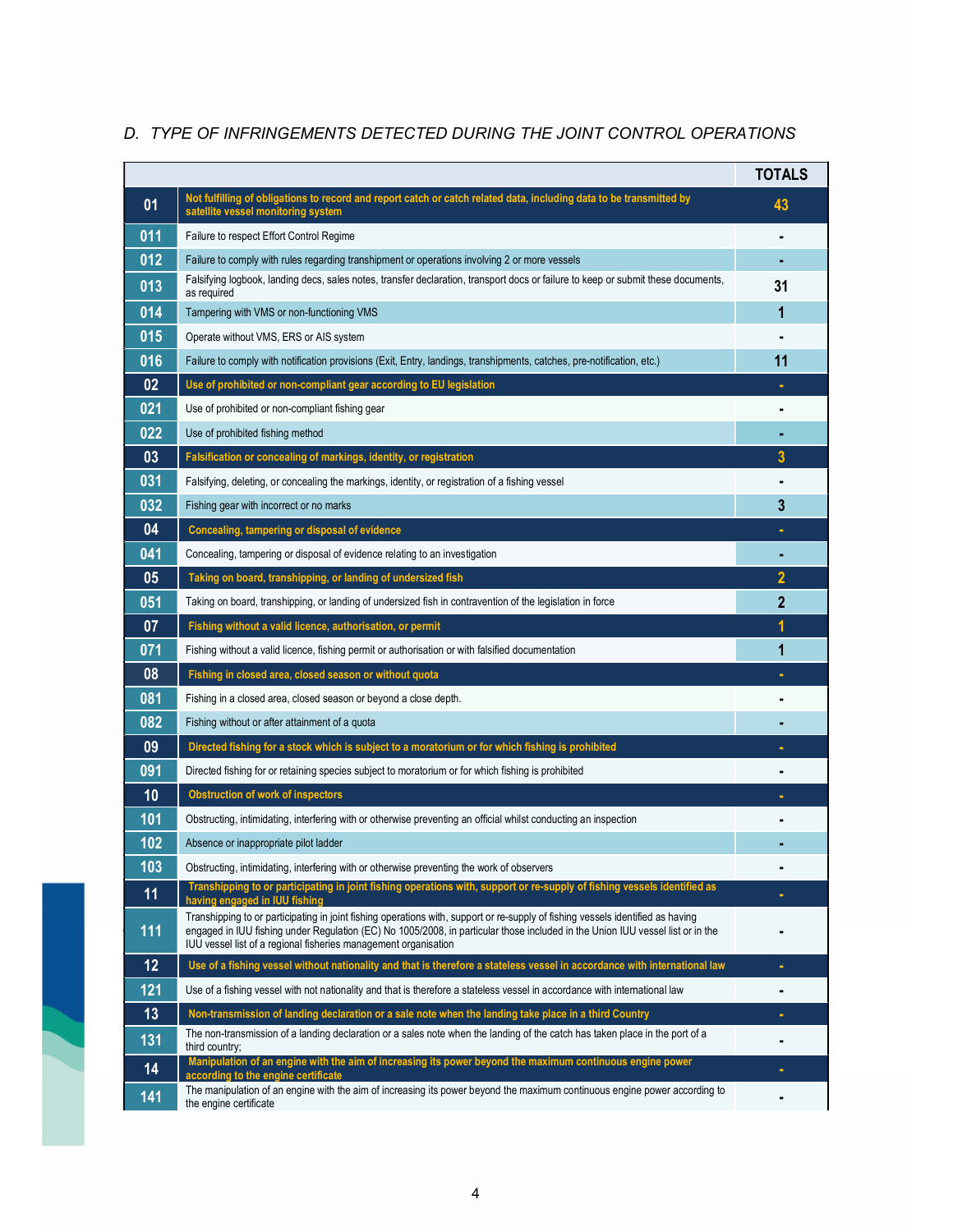# D. TYPE OF INFRINGEMENTS DETECTED DURING THE JOINT CONTROL OPERATIONS

|     |                                                                                                                                                                                                                                                                                                                                      | <b>TOTALS</b> |
|-----|--------------------------------------------------------------------------------------------------------------------------------------------------------------------------------------------------------------------------------------------------------------------------------------------------------------------------------------|---------------|
| 01  | Not fulfilling of obligations to record and report catch or catch related data, including data to be transmitted by<br>satellite vessel monitoring system                                                                                                                                                                            | 43            |
| 011 | Failure to respect Effort Control Regime                                                                                                                                                                                                                                                                                             |               |
| 012 | Failure to comply with rules regarding transhipment or operations involving 2 or more vessels                                                                                                                                                                                                                                        |               |
| 013 | Falsifying logbook, landing decs, sales notes, transfer declaration, transport docs or failure to keep or submit these documents,<br>as required                                                                                                                                                                                     | 31            |
| 014 | Tampering with VMS or non-functioning VMS                                                                                                                                                                                                                                                                                            | 1             |
| 015 | Operate without VMS, ERS or AIS system                                                                                                                                                                                                                                                                                               |               |
| 016 | Failure to comply with notification provisions (Exit, Entry, landings, transhipments, catches, pre-notification, etc.)                                                                                                                                                                                                               | 11            |
| 02  | Use of prohibited or non-compliant gear according to EU legislation                                                                                                                                                                                                                                                                  |               |
| 021 | Use of prohibited or non-compliant fishing gear                                                                                                                                                                                                                                                                                      |               |
| 022 | Use of prohibited fishing method                                                                                                                                                                                                                                                                                                     |               |
| 03  | Falsification or concealing of markings, identity, or registration                                                                                                                                                                                                                                                                   | 3             |
| 031 | Falsifying, deleting, or concealing the markings, identity, or registration of a fishing vessel                                                                                                                                                                                                                                      |               |
| 032 | Fishing gear with incorrect or no marks                                                                                                                                                                                                                                                                                              | 3             |
| 04  | Concealing, tampering or disposal of evidence                                                                                                                                                                                                                                                                                        |               |
| 041 | Concealing, tampering or disposal of evidence relating to an investigation                                                                                                                                                                                                                                                           |               |
| 05  | Taking on board, transhipping, or landing of undersized fish                                                                                                                                                                                                                                                                         | 2             |
| 051 | Taking on board, transhipping, or landing of undersized fish in contravention of the legislation in force                                                                                                                                                                                                                            | $\mathbf{2}$  |
| 07  | Fishing without a valid licence, authorisation, or permit                                                                                                                                                                                                                                                                            | 1             |
| 071 | Fishing without a valid licence, fishing permit or authorisation or with falsified documentation                                                                                                                                                                                                                                     | 1             |
| 08  | Fishing in closed area, closed season or without quota                                                                                                                                                                                                                                                                               |               |
| 081 | Fishing in a closed area, closed season or beyond a close depth.                                                                                                                                                                                                                                                                     |               |
| 082 | Fishing without or after attainment of a quota                                                                                                                                                                                                                                                                                       |               |
| 09  | Directed fishing for a stock which is subject to a moratorium or for which fishing is prohibited                                                                                                                                                                                                                                     |               |
| 091 | Directed fishing for or retaining species subject to moratorium or for which fishing is prohibited                                                                                                                                                                                                                                   |               |
| 10  | <b>Obstruction of work of inspectors</b>                                                                                                                                                                                                                                                                                             |               |
| 101 | Obstructing, intimidating, interfering with or otherwise preventing an official whilst conducting an inspection                                                                                                                                                                                                                      |               |
| 102 | Absence or inappropriate pilot ladder                                                                                                                                                                                                                                                                                                |               |
| 103 | Obstructing, intimidating, interfering with or otherwise preventing the work of observers                                                                                                                                                                                                                                            |               |
| 11  | Transhipping to or participating in joint fishing operations with, support or re-supply of fishing vessels identified as<br>having engaged in IUU fishing                                                                                                                                                                            | ٠             |
| 111 | Transhipping to or participating in joint fishing operations with, support or re-supply of fishing vessels identified as having<br>engaged in IUU fishing under Regulation (EC) No 1005/2008, in particular those included in the Union IUU vessel list or in the<br>IUU vessel list of a regional fisheries management organisation |               |
| 12  | Use of a fishing vessel without nationality and that is therefore a stateless vessel in accordance with international law                                                                                                                                                                                                            | ×.            |
| 121 | Use of a fishing vessel with not nationality and that is therefore a stateless vessel in accordance with international law                                                                                                                                                                                                           |               |
| 13  | Non-transmission of landing declaration or a sale note when the landing take place in a third Country                                                                                                                                                                                                                                | ٠             |
| 131 | The non-transmission of a landing declaration or a sales note when the landing of the catch has taken place in the port of a<br>third country;                                                                                                                                                                                       |               |
| 14  | Manipulation of an engine with the aim of increasing its power beyond the maximum continuous engine power<br>according to the engine certificate                                                                                                                                                                                     | ۰             |
| 141 | The manipulation of an engine with the aim of increasing its power beyond the maximum continuous engine power according to<br>the engine certificate                                                                                                                                                                                 |               |